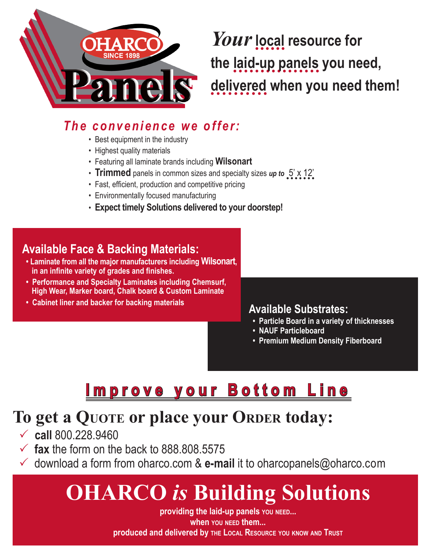

*Your***local resource for the laid-up panels you need, delivered when you need them!**

### *T h e c o n v e n i e n c e w e o f f e r :*

- Best equipment in the industry
- Highest quality materials
- Featuring all laminate brands including **Wilsonart**
- **Trimmed** panels in common sizes and specialty sizes *up to* 5' x 12'
- Fast, efficient, production and competitive pricing
- Environmentally focused manufacturing
- **Expect timely Solutions delivered to your doorstep!**

#### **Available Face & Backing Materials:**

- **Laminate from all the major manufacturers including Wilsonart, in an infinite variety of grades and finishes.**
- **Performance and Specialty Laminates including Chemsurf, High Wear, Marker board, Chalk board & Custom Laminate**
- **Cabinet liner and backer for backing materials**

#### **Available Substrates:**

- **Particle Board in a variety of thicknesses**
- **NAUF Particleboard**
- **Premium Medium Density Fiberboard**

## **Improve your Bottom Line**

### **To get a QUOTE or place your ORDER today:**

- **call** 800.228.9460
- $\checkmark$  fax the form on the back to 888.808.5575
- $\checkmark$  download a form from oharco.com & **e-mail** it to oharcopanels@oharco.com

# **OHARCO** *is* **Building Solutions**

**providing the laid-up panels YOU NEED... when YOU NEED them... produced and delivered by THE LOCAL RESOURCE YOU KNOW AND TRUST**